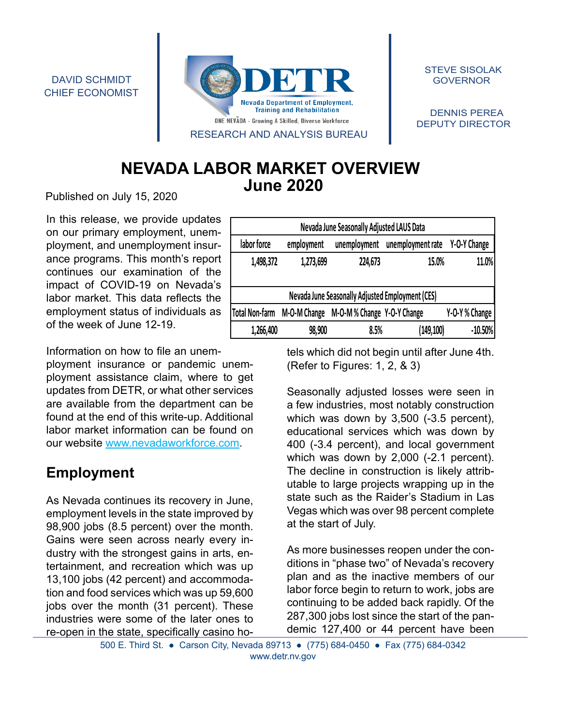DAVID SCHMIDT CHIEF ECONOMIST



RESEARCH AND ANALYSIS BUREAU

 STEVE SISOLAK GOVERNOR

 DENNIS PEREA DEPUTY DIRECTOR

# **NEVADA LABOR MARKET OVERVIEW June 2020**

Published on July 15, 2020

In this release, we provide updates on our primary employment, unemployment, and unemployment insurance programs. This month's report continues our examination of the impact of COVID-19 on Nevada's labor market. This data reflects the employment status of individuals as of the week of June 12-19.

Information on how to file an unem-

ployment insurance or pandemic unemployment assistance claim, where to get updates from DETR, or what other services are available from the department can be found at the end of this write-up. Additional labor market information can be found on our website [www.nevadaworkforce.com](www.nevadaworkforce.com%20%0D).

# **Employment**

As Nevada continues its recovery in June, employment levels in the state improved by 98,900 jobs (8.5 percent) over the month. Gains were seen across nearly every industry with the strongest gains in arts, entertainment, and recreation which was up 13,100 jobs (42 percent) and accommodation and food services which was up 59,600 jobs over the month (31 percent). These industries were some of the later ones to re-open in the state, specifically casino ho-

|                       | <b>Nevada June Seasonally Adjusted LAUS Data</b> |                             |                                                         |                |  |  |  |  |  |  |  |  |  |  |
|-----------------------|--------------------------------------------------|-----------------------------|---------------------------------------------------------|----------------|--|--|--|--|--|--|--|--|--|--|
| labor force           | employment                                       | unemployment                | unemployment rate                                       | Y-O-Y Change   |  |  |  |  |  |  |  |  |  |  |
| 1,498,372             | 1,273,699                                        | 224,673                     | 15.0%                                                   | 11.0%          |  |  |  |  |  |  |  |  |  |  |
|                       |                                                  |                             |                                                         |                |  |  |  |  |  |  |  |  |  |  |
|                       |                                                  |                             | <b>Nevada June Seasonally Adjusted Employment (CES)</b> |                |  |  |  |  |  |  |  |  |  |  |
| <b>Total Non-farm</b> | M-O-M Change                                     | M-O-M % Change Y-O-Y Change |                                                         | Y-O-Y % Change |  |  |  |  |  |  |  |  |  |  |
| 1,266,400             | 98,900                                           | 8.5%                        | (149,100)                                               | $-10.50%$      |  |  |  |  |  |  |  |  |  |  |

tels which did not begin until after June 4th. (Refer to Figures: 1, 2, & 3)

Seasonally adjusted losses were seen in a few industries, most notably construction which was down by 3,500 (-3.5 percent), educational services which was down by 400 (-3.4 percent), and local government which was down by 2,000 (-2.1 percent). The decline in construction is likely attributable to large projects wrapping up in the state such as the Raider's Stadium in Las Vegas which was over 98 percent complete at the start of July.

As more businesses reopen under the conditions in "phase two" of Nevada's recovery plan and as the inactive members of our labor force begin to return to work, jobs are continuing to be added back rapidly. Of the 287,300 jobs lost since the start of the pandemic 127,400 or 44 percent have been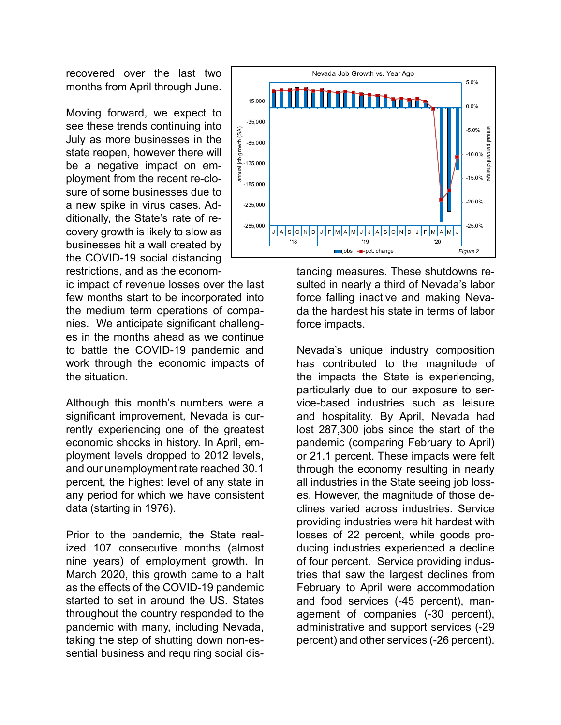recovered over the last two months from April through June.

Moving forward, we expect to see these trends continuing into July as more businesses in the state reopen, however there will be a negative impact on employment from the recent re-closure of some businesses due to a new spike in virus cases. Additionally, the State's rate of recovery growth is likely to slow as businesses hit a wall created by the COVID-19 social distancing restrictions, and as the econom-

ic impact of revenue losses over the last few months start to be incorporated into the medium term operations of companies. We anticipate significant challenges in the months ahead as we continue to battle the COVID-19 pandemic and work through the economic impacts of the situation.

Although this month's numbers were a significant improvement, Nevada is currently experiencing one of the greatest economic shocks in history. In April, employment levels dropped to 2012 levels, and our unemployment rate reached 30.1 percent, the highest level of any state in any period for which we have consistent data (starting in 1976).

Prior to the pandemic, the State realized 107 consecutive months (almost nine years) of employment growth. In March 2020, this growth came to a halt as the effects of the COVID-19 pandemic started to set in around the US. States throughout the country responded to the pandemic with many, including Nevada, taking the step of shutting down non-essential business and requiring social dis-



tancing measures. These shutdowns resulted in nearly a third of Nevada's labor force falling inactive and making Nevada the hardest his state in terms of labor force impacts.

Nevada's unique industry composition has contributed to the magnitude of the impacts the State is experiencing, particularly due to our exposure to service-based industries such as leisure and hospitality. By April, Nevada had lost 287,300 jobs since the start of the pandemic (comparing February to April) or 21.1 percent. These impacts were felt through the economy resulting in nearly all industries in the State seeing job losses. However, the magnitude of those declines varied across industries. Service providing industries were hit hardest with losses of 22 percent, while goods producing industries experienced a decline of four percent. Service providing industries that saw the largest declines from February to April were accommodation and food services (-45 percent), management of companies (-30 percent), administrative and support services (-29 percent) and other services (-26 percent).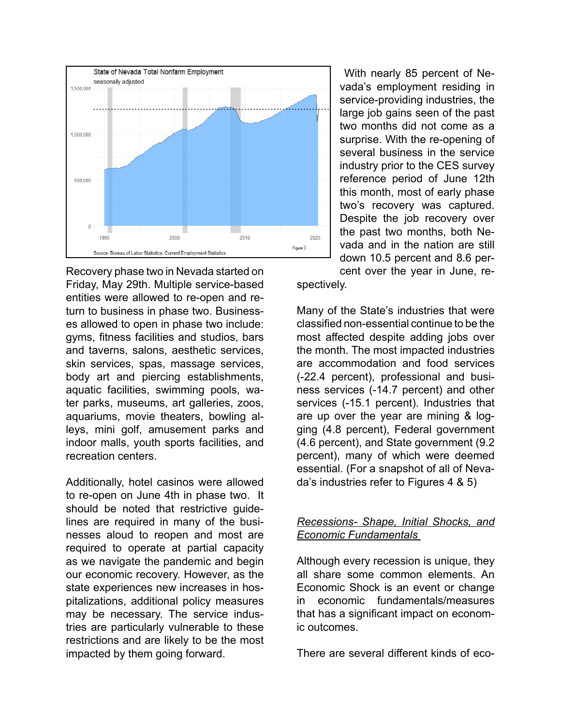

Recovery phase two in Nevada started on Friday, May 29th. Multiple service-based entities were allowed to re-open and return to business in phase two. Businesses allowed to open in phase two include: gyms, fitness facilities and studios, bars and taverns, salons, aesthetic services, skin services, spas, massage services, body art and piercing establishments, aquatic facilities, swimming pools, water parks, museums, art galleries, zoos, aquariums, movie theaters, bowling alleys, mini golf, amusement parks and indoor malls, youth sports facilities, and recreation centers.

Additionally, hotel casinos were allowed to re-open on June 4th in phase two. It should be noted that restrictive guidelines are required in many of the businesses aloud to reopen and most are required to operate at partial capacity as we navigate the pandemic and begin our economic recovery. However, as the state experiences new increases in hospitalizations, additional policy measures may be necessary. The service industries are particularly vulnerable to these restrictions and are likely to be the most impacted by them going forward.

 With nearly 85 percent of Nevada's employment residing in service-providing industries, the large job gains seen of the past two months did not come as a surprise. With the re-opening of several business in the service industry prior to the CES survey reference period of June 12th this month, most of early phase two's recovery was captured. Despite the job recovery over the past two months, both Nevada and in the nation are still down 10.5 percent and 8.6 percent over the year in June, re-

spectively.

Many of the State's industries that were classified non-essential continue to be the most affected despite adding jobs over the month. The most impacted industries are accommodation and food services (-22.4 percent), professional and business services (-14.7 percent) and other services (-15.1 percent). Industries that are up over the year are mining & logging (4.8 percent), Federal government (4.6 percent), and State government (9.2 percent), many of which were deemed essential. (For a snapshot of all of Nevada's industries refer to Figures 4 & 5)

### *Recessions- Shape, Initial Shocks, and Economic Fundamentals*

Although every recession is unique, they all share some common elements. An Economic Shock is an event or change in economic fundamentals/measures that has a significant impact on economic outcomes.

There are several different kinds of eco-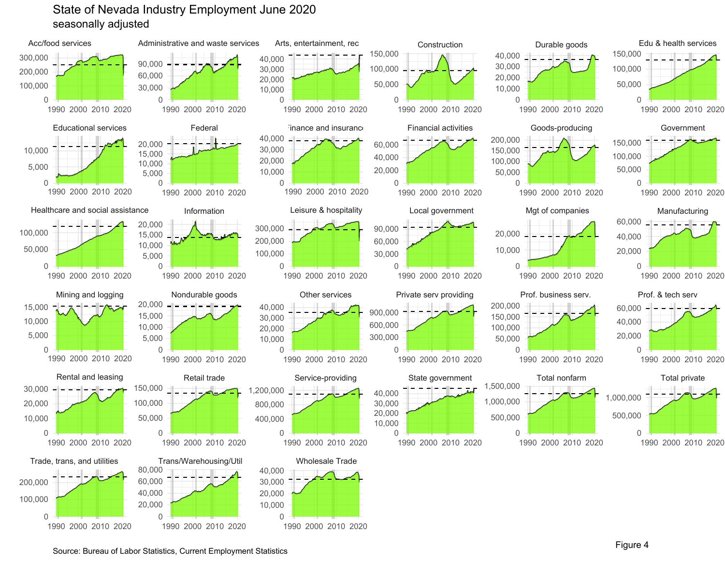### seasonally adjusted State of Nevada Industry Employment June 2020



Source: Bureau of Labor Statistics, Current Employment Statistics Figure 4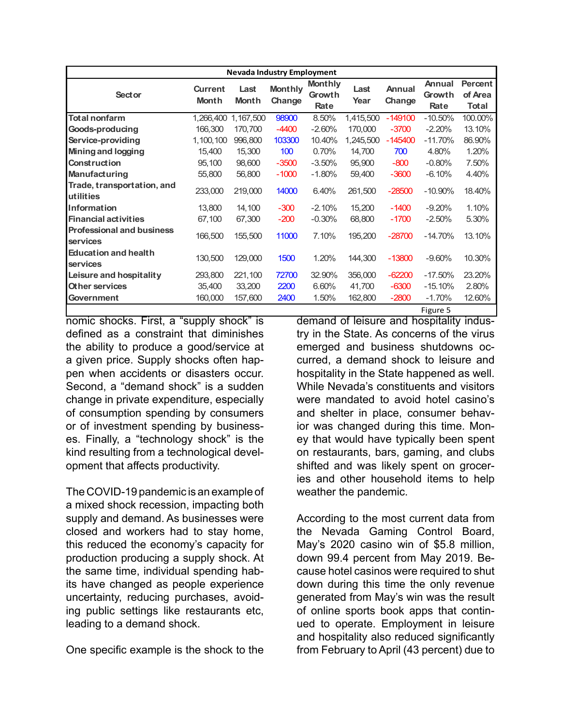| <b>Nevada Industry Employment</b>            |                                |                      |                          |                                  |              |                  |                                 |                                           |  |  |  |  |  |
|----------------------------------------------|--------------------------------|----------------------|--------------------------|----------------------------------|--------------|------------------|---------------------------------|-------------------------------------------|--|--|--|--|--|
| <b>Sector</b>                                | <b>Current</b><br><b>Month</b> | Last<br><b>Month</b> | <b>Monthly</b><br>Change | <b>Monthly</b><br>Growth<br>Rate | Last<br>Year | Annual<br>Change | <b>Annual</b><br>Growth<br>Rate | <b>Percent</b><br>of Area<br><b>Total</b> |  |  |  |  |  |
| <b>Total nonfarm</b>                         | 1,266,400                      | 1,167,500            | 98900                    | 8.50%                            | 1,415,500    | $-149100$        | $-10.50%$                       | 100.00%                                   |  |  |  |  |  |
| Goods-producing                              | 166,300                        | 170,700              | $-4400$                  | $-2.60%$                         | 170,000      | $-3700$          | $-2.20%$                        | 13.10%                                    |  |  |  |  |  |
| Service-providing                            | 1,100,100                      | 996,800              | 103300                   | 10.40%                           | 1,245,500    | $-145400$        | $-11.70%$                       | 86.90%                                    |  |  |  |  |  |
| <b>Mining and logging</b>                    | 15,400                         | 15,300               | 100                      | 0.70%                            | 14,700       | 700              | 4.80%                           | 1.20%                                     |  |  |  |  |  |
| Construction                                 | 95,100                         | 98,600               | $-3500$                  | $-3.50%$                         | 95,900       | $-800$           | $-0.80%$                        | 7.50%                                     |  |  |  |  |  |
| <b>Manufacturing</b>                         | 55,800                         | 56,800               | $-1000$                  | $-1.80%$                         | 59,400       | $-3600$          | $-6.10%$                        | 4.40%                                     |  |  |  |  |  |
| Trade, transportation, and<br>utilities      | 233,000                        | 219,000              | 14000                    | 6.40%                            | 261,500      | $-28500$         | $-10.90\%$                      | 18.40%                                    |  |  |  |  |  |
| Information                                  | 13,800                         | 14,100               | $-300$                   | $-2.10%$                         | 15,200       | $-1400$          | $-9.20%$                        | 1.10%                                     |  |  |  |  |  |
| <b>Financial activities</b>                  | 67,100                         | 67,300               | $-200$                   | $-0.30%$                         | 68,800       | $-1700$          | $-2.50%$                        | 5.30%                                     |  |  |  |  |  |
| <b>Professional and business</b><br>services | 166,500                        | 155,500              | 11000                    | 7.10%                            | 195,200      | $-28700$         | $-14.70%$                       | 13.10%                                    |  |  |  |  |  |
| <b>Education and health</b><br>services      | 130,500                        | 129,000              | 1500                     | 1.20%                            | 144,300      | $-13800$         | $-9.60%$                        | 10.30%                                    |  |  |  |  |  |
| Leisure and hospitality                      | 293,800                        | 221,100              | 72700                    | 32.90%                           | 356,000      | $-62200$         | $-17.50\%$                      | 23.20%                                    |  |  |  |  |  |
| Other services                               | 35,400                         | 33,200               | 2200                     | 6.60%                            | 41,700       | $-6300$          | $-15.10%$                       | 2.80%                                     |  |  |  |  |  |
| Government                                   | 160,000                        | 157,600              | 2400                     | 1.50%                            | 162,800      | $-2800$          | $-1.70%$                        | 12.60%                                    |  |  |  |  |  |
|                                              |                                |                      |                          |                                  |              |                  | Figure 5                        |                                           |  |  |  |  |  |

nomic shocks. First, a "supply shock" is defined as a constraint that diminishes the ability to produce a good/service at a given price. Supply shocks often happen when accidents or disasters occur. Second, a "demand shock" is a sudden change in private expenditure, especially of consumption spending by consumers or of investment spending by businesses. Finally, a "technology shock" is the kind resulting from a technological development that affects productivity.

The COVID-19 pandemic is an example of a mixed shock recession, impacting both supply and demand. As businesses were closed and workers had to stay home, this reduced the economy's capacity for production producing a supply shock. At the same time, individual spending habits have changed as people experience uncertainty, reducing purchases, avoiding public settings like restaurants etc, leading to a demand shock.

One specific example is the shock to the

demand of leisure and hospitality industry in the State. As concerns of the virus emerged and business shutdowns occurred, a demand shock to leisure and hospitality in the State happened as well. While Nevada's constituents and visitors were mandated to avoid hotel casino's and shelter in place, consumer behavior was changed during this time. Money that would have typically been spent on restaurants, bars, gaming, and clubs shifted and was likely spent on groceries and other household items to help weather the pandemic.

According to the most current data from the Nevada Gaming Control Board, May's 2020 casino win of \$5.8 million, down 99.4 percent from May 2019. Because hotel casinos were required to shut down during this time the only revenue generated from May's win was the result of online sports book apps that continued to operate. Employment in leisure and hospitality also reduced significantly from February to April (43 percent) due to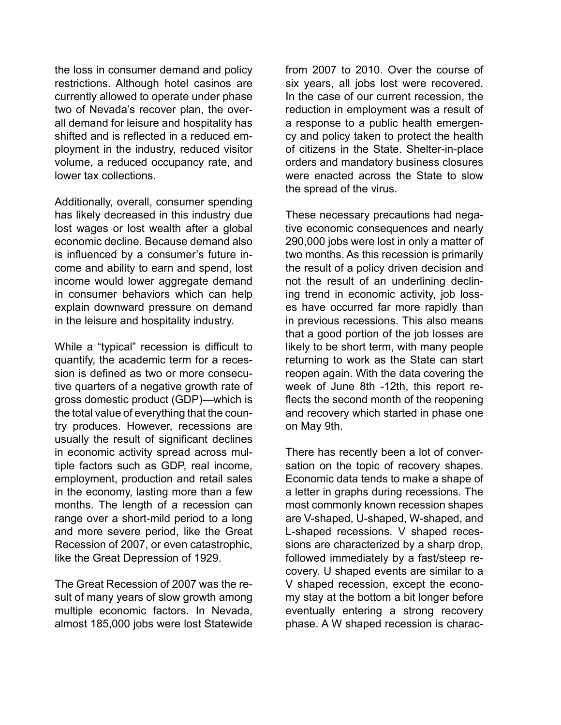the loss in consumer demand and policy restrictions. Although hotel casinos are currently allowed to operate under phase two of Nevada's recover plan, the overall demand for leisure and hospitality has shifted and is reflected in a reduced employment in the industry, reduced visitor volume, a reduced occupancy rate, and lower tax collections.

Additionally, overall, consumer spending has likely decreased in this industry due lost wages or lost wealth after a global economic decline. Because demand also is influenced by a consumer's future income and ability to earn and spend, lost income would lower aggregate demand in consumer behaviors which can help explain downward pressure on demand in the leisure and hospitality industry.

While a "typical" recession is difficult to quantify, the academic term for a recession is defined as two or more consecutive quarters of a negative growth rate of gross domestic product (GDP)—which is the total value of everything that the country produces. However, recessions are

usually in econ tiple fad employi in the  $e$ months range o and mo Recessi like the The Great Recession of 2007 **ASU NORTH** on May 9th.

sult of n multiple  $\blacksquare$ almost  $\blacksquare$ 



These necessary precautions had negative economic consequences and nearly 290,000 jobs were lost in only a matter of two months. As this recession is primarily the result of a policy driven decision and not the result of an underlining declining trend in economic activity, job losses have occurred far more rapidly than in previous recessions. This also means that a good portion of the job losses are likely to be short term, with many people returning to work as the State can start reopen again. With the data covering the week of June 8th -12th, this report reflects the second month of the reopening and recovery which started in phase one

itly been a lot of converpic of recovery shapes. ends to make a shape of s during recessions. The known recession shapes -shaped, W-shaped, and sions. V shaped recesterized by a sharp drop, ately by a fast/steep red events are similar to a sion, except the econo**notation** a bit longer before **before** Wap\_Description<br>
ally fincluded Areas, for Connecting ring a strong recovery bed recession is charac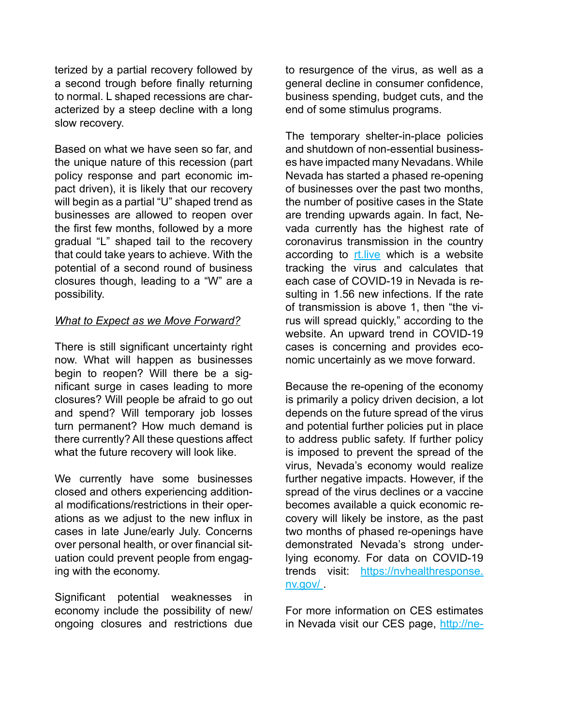terized by a partial recovery followed by a second trough before finally returning to normal. L shaped recessions are characterized by a steep decline with a long slow recovery.

Based on what we have seen so far, and the unique nature of this recession (part policy response and part economic impact driven), it is likely that our recovery will begin as a partial "U" shaped trend as businesses are allowed to reopen over the first few months, followed by a more gradual "L" shaped tail to the recovery that could take years to achieve. With the potential of a second round of business closures though, leading to a "W" are a possibility.

### *What to Expect as we Move Forward?*

There is still significant uncertainty right now. What will happen as businesses begin to reopen? Will there be a significant surge in cases leading to more closures? Will people be afraid to go out and spend? Will temporary job losses turn permanent? How much demand is there currently? All these questions affect what the future recovery will look like.

We currently have some businesses closed and others experiencing additional modifications/restrictions in their operations as we adjust to the new influx in cases in late June/early July. Concerns over personal health, or over financial situation could prevent people from engaging with the economy.

Significant potential weaknesses in economy include the possibility of new/ ongoing closures and restrictions due

to resurgence of the virus, as well as a general decline in consumer confidence, business spending, budget cuts, and the end of some stimulus programs.

The temporary shelter-in-place policies and shutdown of non-essential businesses have impacted many Nevadans. While Nevada has started a phased re-opening of businesses over the past two months, the number of positive cases in the State are trending upwards again. In fact, Nevada currently has the highest rate of coronavirus transmission in the country according to [rt.live](http://rt.live) which is a website tracking the virus and calculates that each case of COVID-19 in Nevada is resulting in 1.56 new infections. If the rate of transmission is above 1, then "the virus will spread quickly," according to the website. An upward trend in COVID-19 cases is concerning and provides economic uncertainly as we move forward.

Because the re-opening of the economy is primarily a policy driven decision, a lot depends on the future spread of the virus and potential further policies put in place to address public safety. If further policy is imposed to prevent the spread of the virus, Nevada's economy would realize further negative impacts. However, if the spread of the virus declines or a vaccine becomes available a quick economic recovery will likely be instore, as the past two months of phased re-openings have demonstrated Nevada's strong underlying economy. For data on COVID-19 trends visit: <https://nvhealthresponse>. nv.gov/ .

For more information on CES estimates in Nevada visit our CES page, [http://ne-](http://nevadaworkforce.com/CES)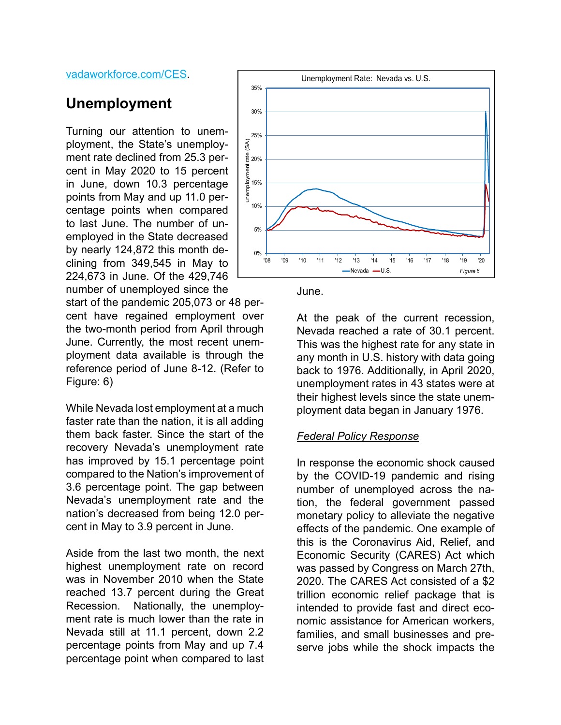#### [vadaworkforce.com/CES](http://nevadaworkforce.com/CES).

## **Unemployment**

Turning our attention to unemployment, the State's unemployment rate declined from 25.3 percent in May 2020 to 15 percent in June, down 10.3 percentage points from May and up 11.0 percentage points when compared to last June. The number of unemployed in the State decreased by nearly 124,872 this month declining from 349,545 in May to 224,673 in June. Of the 429,746 number of unemployed since the

start of the pandemic 205,073 or 48 percent have regained employment over the two-month period from April through June. Currently, the most recent unemployment data available is through the reference period of June 8-12. (Refer to Figure: 6)

While Nevada lost employment at a much faster rate than the nation, it is all adding them back faster. Since the start of the recovery Nevada's unemployment rate has improved by 15.1 percentage point compared to the Nation's improvement of 3.6 percentage point. The gap between Nevada's unemployment rate and the nation's decreased from being 12.0 percent in May to 3.9 percent in June.

Aside from the last two month, the next highest unemployment rate on record was in November 2010 when the State reached 13.7 percent during the Great Recession. Nationally, the unemployment rate is much lower than the rate in Nevada still at 11.1 percent, down 2.2 percentage points from May and up 7.4 percentage point when compared to last



June.

At the peak of the current recession, Nevada reached a rate of 30.1 percent. This was the highest rate for any state in any month in U.S. history with data going back to 1976. Additionally, in April 2020, unemployment rates in 43 states were at their highest levels since the state unemployment data began in January 1976.

#### *Federal Policy Response*

In response the economic shock caused by the COVID-19 pandemic and rising number of unemployed across the nation, the federal government passed monetary policy to alleviate the negative effects of the pandemic. One example of this is the Coronavirus Aid, Relief, and Economic Security (CARES) Act which was passed by Congress on March 27th, 2020. The CARES Act consisted of a \$2 trillion economic relief package that is intended to provide fast and direct economic assistance for American workers, families, and small businesses and preserve jobs while the shock impacts the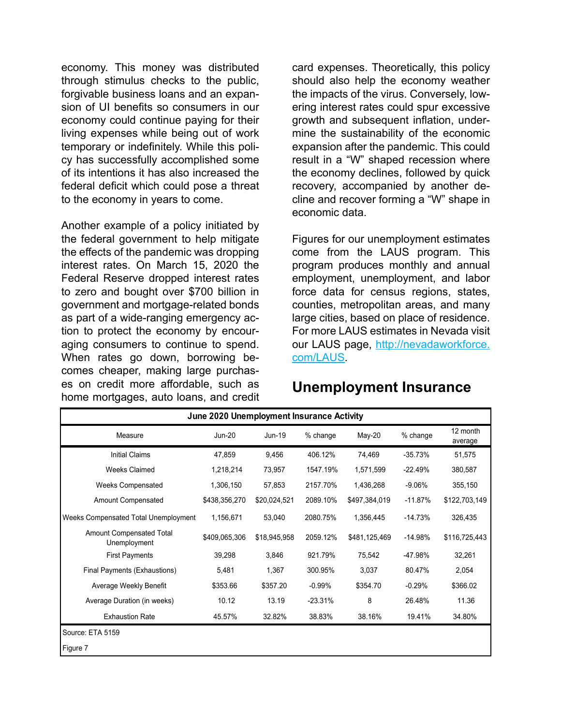economy. This money was distributed through stimulus checks to the public, forgivable business loans and an expansion of UI benefits so consumers in our economy could continue paying for their living expenses while being out of work temporary or indefinitely. While this policy has successfully accomplished some of its intentions it has also increased the federal deficit which could pose a threat to the economy in years to come.

Another example of a policy initiated by the federal government to help mitigate the effects of the pandemic was dropping interest rates. On March 15, 2020 the Federal Reserve dropped interest rates to zero and bought over \$700 billion in government and mortgage-related bonds as part of a wide-ranging emergency action to protect the economy by encouraging consumers to continue to spend. When rates go down, borrowing becomes cheaper, making large purchases on credit more affordable, such as home mortgages, auto loans, and credit card expenses. Theoretically, this policy should also help the economy weather the impacts of the virus. Conversely, lowering interest rates could spur excessive growth and subsequent inflation, undermine the sustainability of the economic expansion after the pandemic. This could result in a "W" shaped recession where the economy declines, followed by quick recovery, accompanied by another decline and recover forming a "W" shape in economic data.

Figures for our unemployment estimates come from the LAUS program. This program produces monthly and annual employment, unemployment, and labor force data for census regions, states, counties, metropolitan areas, and many large cities, based on place of residence. For more LAUS estimates in Nevada visit our LAUS page, [http://nevadaworkforce.](http://nevadaworkforce.com/LAUS) [com/LAUS](http://nevadaworkforce.com/LAUS).

# **Unemployment Insurance**

|                                                 | June 2020 Unemployment Insurance Activity |              |           |               |           |                     |
|-------------------------------------------------|-------------------------------------------|--------------|-----------|---------------|-----------|---------------------|
| Measure                                         | <b>Jun-20</b>                             | Jun-19       | % change  | $May-20$      | % change  | 12 month<br>average |
| <b>Initial Claims</b>                           | 47,859                                    | 9,456        | 406.12%   | 74,469        | $-35.73%$ | 51,575              |
| <b>Weeks Claimed</b>                            | 1,218,214                                 | 73,957       | 1547.19%  | 1,571,599     | $-22.49%$ | 380,587             |
| <b>Weeks Compensated</b>                        | 1,306,150                                 | 57,853       | 2157.70%  | 1,436,268     | $-9.06%$  | 355,150             |
| <b>Amount Compensated</b>                       | \$438,356,270                             | \$20,024,521 | 2089.10%  | \$497,384,019 | $-11.87%$ | \$122,703,149       |
| Weeks Compensated Total Unemployment            | 1,156,671                                 | 53,040       | 2080.75%  | 1,356,445     | $-14.73%$ | 326,435             |
| <b>Amount Compensated Total</b><br>Unemployment | \$409,065,306                             | \$18,945,958 | 2059.12%  | \$481,125,469 | $-14.98%$ | \$116,725,443       |
| <b>First Payments</b>                           | 39,298                                    | 3,846        | 921.79%   | 75,542        | -47.98%   | 32,261              |
| Final Payments (Exhaustions)                    | 5,481                                     | 1,367        | 300.95%   | 3,037         | 80.47%    | 2,054               |
| Average Weekly Benefit                          | \$353.66                                  | \$357.20     | $-0.99%$  | \$354.70      | $-0.29%$  | \$366.02            |
| Average Duration (in weeks)                     | 10.12                                     | 13.19        | $-23.31%$ | 8             | 26.48%    | 11.36               |
| <b>Exhaustion Rate</b>                          | 45.57%                                    | 32.82%       | 38.83%    | 38.16%        | 19.41%    | 34.80%              |
| Source: ETA 5159                                |                                           |              |           |               |           |                     |
| Figure 7                                        |                                           |              |           |               |           |                     |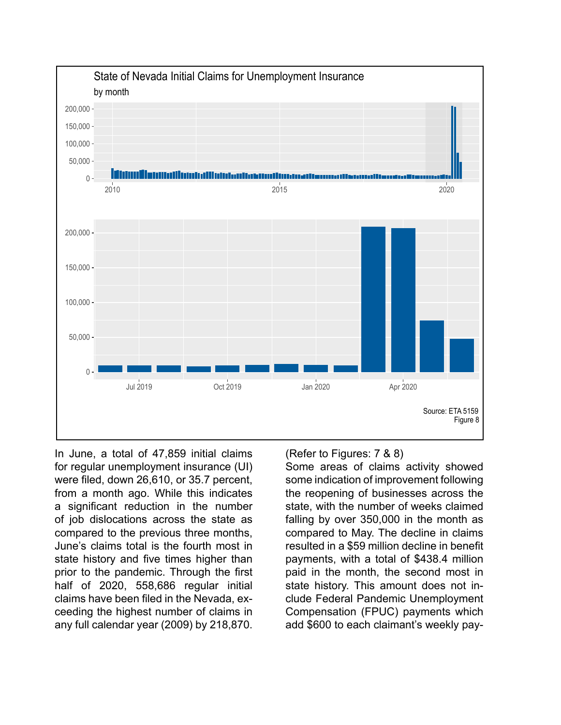

In June, a total of 47,859 initial claims for regular unemployment insurance (UI) were filed, down 26,610, or 35.7 percent, from a month ago. While this indicates a significant reduction in the number of job dislocations across the state as compared to the previous three months, June's claims total is the fourth most in state history and five times higher than prior to the pandemic. Through the first half of 2020, 558,686 regular initial claims have been filed in the Nevada, exceeding the highest number of claims in any full calendar year (2009) by 218,870.

(Refer to Figures: 7 & 8)

Some areas of claims activity showed some indication of improvement following the reopening of businesses across the state, with the number of weeks claimed falling by over 350,000 in the month as compared to May. The decline in claims resulted in a \$59 million decline in benefit payments, with a total of \$438.4 million paid in the month, the second most in state history. This amount does not include Federal Pandemic Unemployment Compensation (FPUC) payments which add \$600 to each claimant's weekly pay-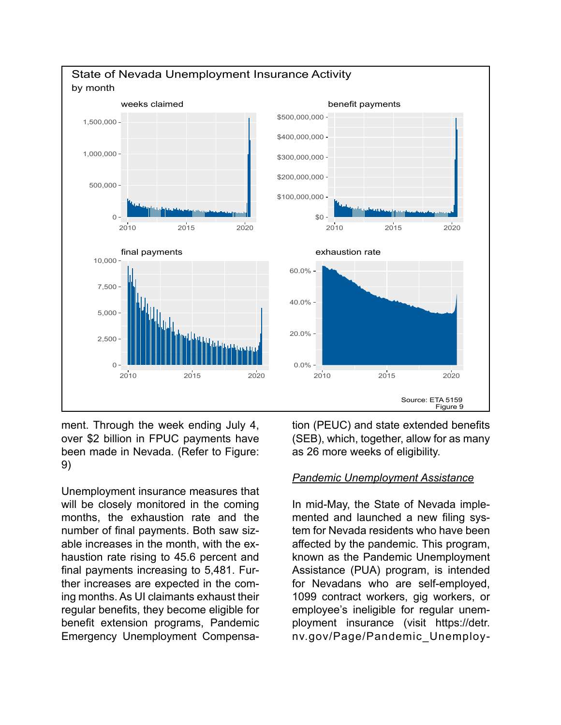

ment. Through the week ending July 4, over \$2 billion in FPUC payments have been made in Nevada. (Refer to Figure: 9)

Unemployment insurance measures that will be closely monitored in the coming months, the exhaustion rate and the number of final payments. Both saw sizable increases in the month, with the exhaustion rate rising to 45.6 percent and final payments increasing to 5,481. Further increases are expected in the coming months. As UI claimants exhaust their regular benefits, they become eligible for benefit extension programs, Pandemic Emergency Unemployment Compensation (PEUC) and state extended benefits (SEB), which, together, allow for as many as 26 more weeks of eligibility.

### *Pandemic Unemployment Assistance*

In mid-May, the State of Nevada implemented and launched a new filing system for Nevada residents who have been affected by the pandemic. This program, known as the Pandemic Unemployment Assistance (PUA) program, is intended for Nevadans who are self-employed, 1099 contract workers, gig workers, or employee's ineligible for regular unemployment insurance (visit https://detr. nv.gov/Page/Pandemic\_Unemploy-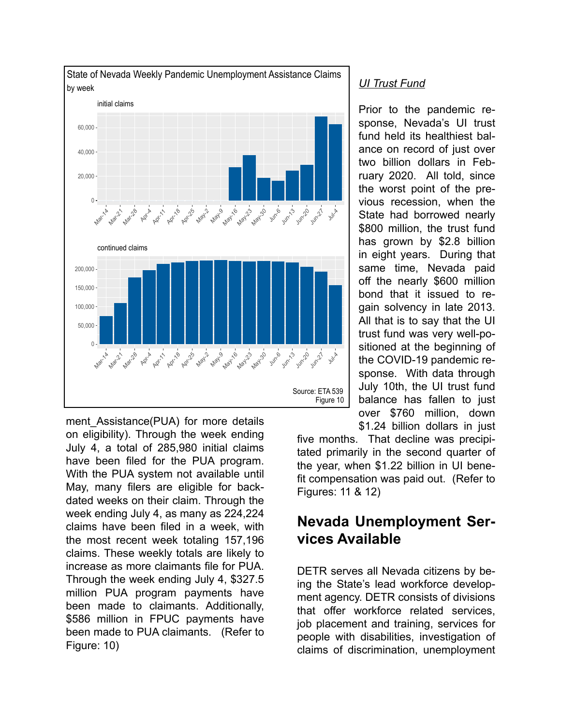

ment Assistance(PUA) for more details on eligibility). Through the week ending July 4, a total of 285,980 initial claims have been filed for the PUA program. With the PUA system not available until May, many filers are eligible for backdated weeks on their claim. Through the week ending July 4, as many as 224,224 claims have been filed in a week, with the most recent week totaling 157,196 claims. These weekly totals are likely to increase as more claimants file for PUA. Through the week ending July 4, \$327.5 million PUA program payments have been made to claimants. Additionally, \$586 million in FPUC payments have been made to PUA claimants. (Refer to Figure: 10)

### *UI Trust Fund*

Prior to the pandemic response, Nevada's UI trust fund held its healthiest balance on record of just over two billion dollars in February 2020. All told, since the worst point of the previous recession, when the State had borrowed nearly \$800 million, the trust fund has grown by \$2.8 billion in eight years. During that same time, Nevada paid off the nearly \$600 million bond that it issued to regain solvency in late 2013. All that is to say that the UI trust fund was very well-positioned at the beginning of the COVID-19 pandemic response. With data through July 10th, the UI trust fund balance has fallen to just over \$760 million, down \$1.24 billion dollars in just

five months. That decline was precipitated primarily in the second quarter of the year, when \$1.22 billion in UI benefit compensation was paid out. (Refer to Figures: 11 & 12)

# **Nevada Unemployment Services Available**

DETR serves all Nevada citizens by being the State's lead workforce development agency. DETR consists of divisions that offer workforce related services, job placement and training, services for people with disabilities, investigation of claims of discrimination, unemployment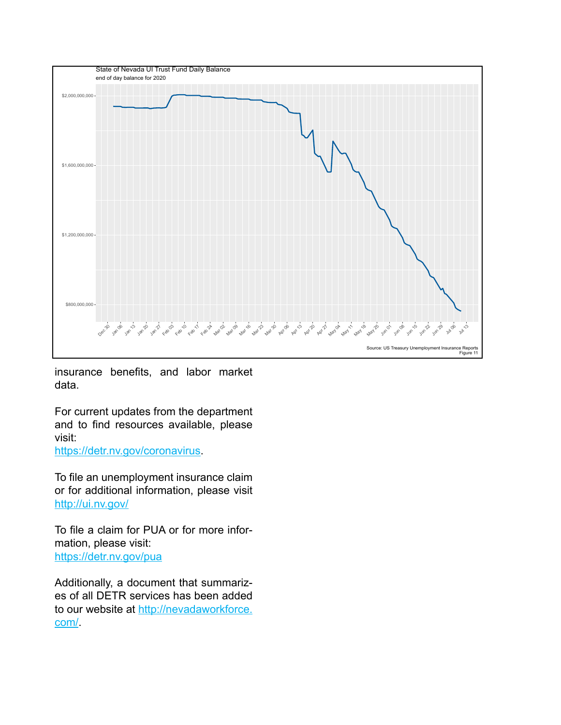

insurance benefits, and labor market data.

For current updates from the department and to find resources available, please

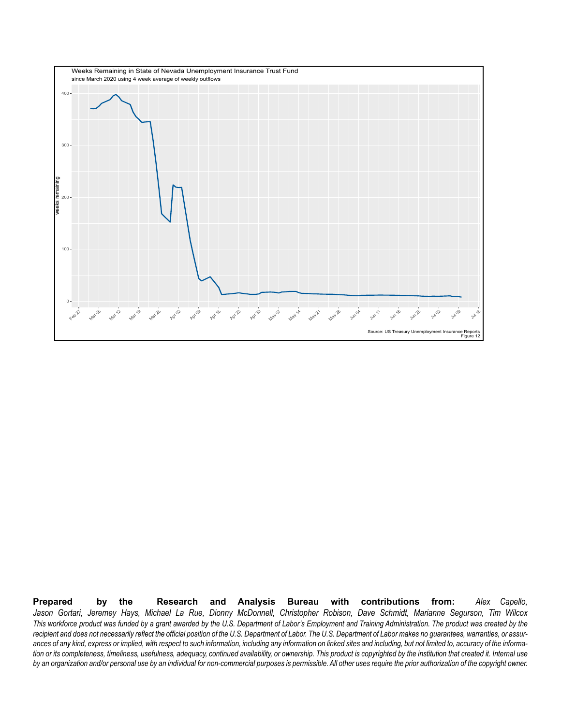



*This workforce product was funded by a grant awarded by the U.S. Department of Labor's Employment and Training Administration. The product was created by the* **Prepared** by the Research and Analysis <sub>AS</sub>Bureau with contributions from: Alex Capello, *Jason Gortari, Jeremey Hays, Michael La Rue, Dionny McDonnell, Christopher Robison, Dave Schmidt, Marianne Segurson, Tim Wilcox recipient and does not necessarily reflect the official position of the U.S. Department of Labor. The U.S. Department of Labor makes no guarantees, warranties, or assurances of any kind, express or implied, with respect to such information, including any information on linked sites and including, but not limited to, accuracy of the information or its completeness, timeliness, usefulness, adequacy, continued availability, or ownership. This product is copyrighted by the institution that created it. Internal use by an organization and/or personal use by an individual for non-commercial purposes is permissible. All other uses require the prior authorization of the copyright owner.*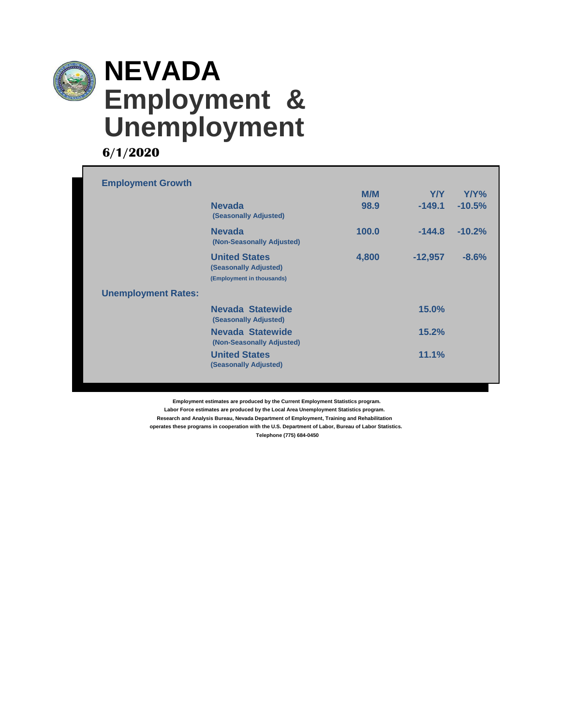

## **6/1/2020**

|                            |                                                                            | M/M   | <b>Y/Y</b> | Y/Y%     |
|----------------------------|----------------------------------------------------------------------------|-------|------------|----------|
|                            | <b>Nevada</b><br>(Seasonally Adjusted)                                     | 98.9  | $-149.1$   | $-10.5%$ |
|                            | <b>Nevada</b><br>(Non-Seasonally Adjusted)                                 | 100.0 | $-144.8$   | $-10.2%$ |
|                            | <b>United States</b><br>(Seasonally Adjusted)<br>(Employment in thousands) | 4,800 | $-12,957$  | $-8.6%$  |
| <b>Unemployment Rates:</b> |                                                                            |       |            |          |
|                            | Nevada Statewide<br>(Seasonally Adjusted)                                  |       | 15.0%      |          |
|                            | Nevada Statewide<br>(Non-Seasonally Adjusted)                              |       | 15.2%      |          |
|                            | <b>United States</b><br>(Seasonally Adjusted)                              |       | 11.1%      |          |

 **Employment estimates are produced by the Current Employment Statistics program.**

 **Labor Force estimates are produced by the Local Area Unemployment Statistics program.**

 **operates these programs in cooperation with the U.S. Department of Labor, Bureau of Labor Statistics. Research and Analysis Bureau, Nevada Department of Employment, Training and Rehabilitation**

 **Telephone (775) 684-0450**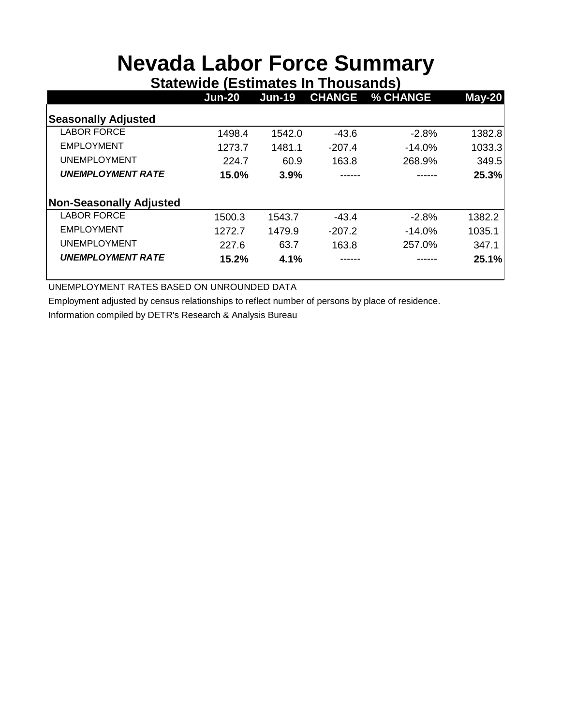# **Nevada Labor Force Summary**

| <b>Statewide (Estimates In Thousands)</b> |          |          |          |                        |          |  |  |  |  |  |  |  |  |
|-------------------------------------------|----------|----------|----------|------------------------|----------|--|--|--|--|--|--|--|--|
|                                           | $Jun-20$ | $Jun-19$ |          | <b>CHANGE % CHANGE</b> | $May-20$ |  |  |  |  |  |  |  |  |
| <b>Seasonally Adjusted</b>                |          |          |          |                        |          |  |  |  |  |  |  |  |  |
| <b>LABOR FORCE</b>                        | 1498.4   | 1542.0   | $-43.6$  | $-2.8%$                | 1382.8   |  |  |  |  |  |  |  |  |
| <b>EMPLOYMENT</b>                         | 1273.7   | 1481.1   | $-207.4$ | $-14.0%$               | 1033.3   |  |  |  |  |  |  |  |  |
| <b>UNEMPLOYMENT</b>                       | 224.7    | 60.9     | 163.8    | 268.9%                 | 349.5    |  |  |  |  |  |  |  |  |
| <b>UNEMPLOYMENT RATE</b>                  | 15.0%    | 3.9%     |          |                        | 25.3%    |  |  |  |  |  |  |  |  |
| <b>Non-Seasonally Adjusted</b>            |          |          |          |                        |          |  |  |  |  |  |  |  |  |
| <b>LABOR FORCE</b>                        | 1500.3   | 1543.7   | $-43.4$  | $-2.8%$                | 1382.2   |  |  |  |  |  |  |  |  |
| <b>EMPLOYMENT</b>                         | 1272.7   | 1479.9   | $-207.2$ | $-14.0%$               | 1035.1   |  |  |  |  |  |  |  |  |
| <b>UNEMPLOYMENT</b>                       | 227.6    | 63.7     | 163.8    | 257.0%                 | 347.1    |  |  |  |  |  |  |  |  |
| <b>UNEMPLOYMENT RATE</b>                  | 15.2%    | 4.1%     |          |                        | 25.1%    |  |  |  |  |  |  |  |  |

UNEMPLOYMENT RATES BASED ON UNROUNDED DATA

Employment adjusted by census relationships to reflect number of persons by place of residence.

Information compiled by DETR's Research & Analysis Bureau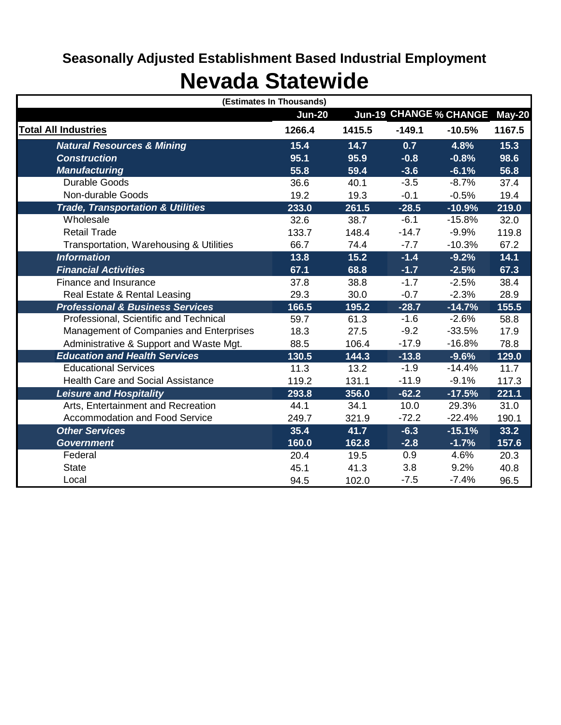# **Seasonally Adjusted Establishment Based Industrial Employment Nevada Statewide**

|                                              | (Estimates In Thousands) |        |          |                               |        |
|----------------------------------------------|--------------------------|--------|----------|-------------------------------|--------|
|                                              | <b>Jun-20</b>            |        |          | Jun-19 CHANGE % CHANGE May-20 |        |
| <b>Total All Industries</b>                  | 1266.4                   | 1415.5 | $-149.1$ | $-10.5%$                      | 1167.5 |
| <b>Natural Resources &amp; Mining</b>        | 15.4                     | 14.7   | 0.7      | 4.8%                          | 15.3   |
| <b>Construction</b>                          | 95.1                     | 95.9   | $-0.8$   | $-0.8%$                       | 98.6   |
| <b>Manufacturing</b>                         | 55.8                     | 59.4   | $-3.6$   | $-6.1%$                       | 56.8   |
| <b>Durable Goods</b>                         | 36.6                     | 40.1   | $-3.5$   | $-8.7%$                       | 37.4   |
| Non-durable Goods                            | 19.2                     | 19.3   | $-0.1$   | $-0.5%$                       | 19.4   |
| <b>Trade, Transportation &amp; Utilities</b> | 233.0                    | 261.5  | $-28.5$  | $-10.9%$                      | 219.0  |
| Wholesale                                    | 32.6                     | 38.7   | $-6.1$   | $-15.8%$                      | 32.0   |
| <b>Retail Trade</b>                          | 133.7                    | 148.4  | $-14.7$  | $-9.9%$                       | 119.8  |
| Transportation, Warehousing & Utilities      | 66.7                     | 74.4   | $-7.7$   | $-10.3%$                      | 67.2   |
| <b>Information</b>                           | 13.8                     | 15.2   | $-1.4$   | $-9.2%$                       | 14.1   |
| <b>Financial Activities</b>                  | 67.1                     | 68.8   | $-1.7$   | $-2.5%$                       | 67.3   |
| Finance and Insurance                        | 37.8                     | 38.8   | $-1.7$   | $-2.5%$                       | 38.4   |
| Real Estate & Rental Leasing                 | 29.3                     | 30.0   | $-0.7$   | $-2.3%$                       | 28.9   |
| <b>Professional &amp; Business Services</b>  | 166.5                    | 195.2  | $-28.7$  | $-14.7%$                      | 155.5  |
| Professional, Scientific and Technical       | 59.7                     | 61.3   | $-1.6$   | $-2.6%$                       | 58.8   |
| Management of Companies and Enterprises      | 18.3                     | 27.5   | $-9.2$   | $-33.5%$                      | 17.9   |
| Administrative & Support and Waste Mgt.      | 88.5                     | 106.4  | $-17.9$  | $-16.8%$                      | 78.8   |
| <b>Education and Health Services</b>         | 130.5                    | 144.3  | $-13.8$  | $-9.6%$                       | 129.0  |
| <b>Educational Services</b>                  | 11.3                     | 13.2   | $-1.9$   | $-14.4%$                      | 11.7   |
| <b>Health Care and Social Assistance</b>     | 119.2                    | 131.1  | $-11.9$  | $-9.1%$                       | 117.3  |
| <b>Leisure and Hospitality</b>               | 293.8                    | 356.0  | $-62.2$  | $-17.5%$                      | 221.1  |
| Arts, Entertainment and Recreation           | 44.1                     | 34.1   | 10.0     | 29.3%                         | 31.0   |
| <b>Accommodation and Food Service</b>        | 249.7                    | 321.9  | $-72.2$  | $-22.4%$                      | 190.1  |
| <b>Other Services</b>                        | 35.4                     | 41.7   | $-6.3$   | $-15.1%$                      | 33.2   |
| <b>Government</b>                            | 160.0                    | 162.8  | $-2.8$   | $-1.7%$                       | 157.6  |
| Federal                                      | 20.4                     | 19.5   | 0.9      | 4.6%                          | 20.3   |
| <b>State</b>                                 | 45.1                     | 41.3   | 3.8      | 9.2%                          | 40.8   |
| Local                                        | 94.5                     | 102.0  | $-7.5$   | $-7.4%$                       | 96.5   |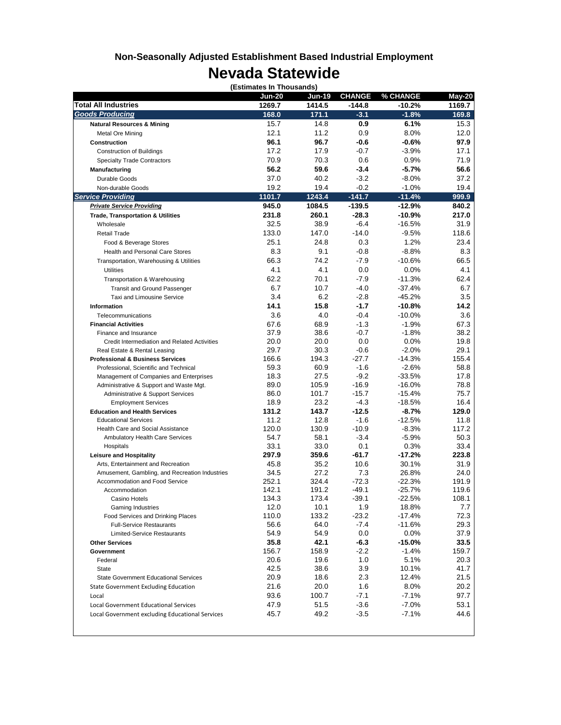### **Non-Seasonally Adjusted Establishment Based Industrial Employment Nevada Statewide**

| ,,,,,,,,,,,,,,,,,,,,     |  |  |
|--------------------------|--|--|
| (Estimates In Thousands) |  |  |

|                                                 | <b>Jun-20</b> | <b>Jun-19</b> | <b>CHANGE</b> | % CHANGE           | May-20 |
|-------------------------------------------------|---------------|---------------|---------------|--------------------|--------|
| <b>Total All Industries</b>                     | 1269.7        | 1414.5        | $-144.8$      | -10.2%             | 1169.7 |
| <b>Goods Producing</b>                          | 168.0         | 171.1         | $-3.1$        | $-1.8%$            | 169.8  |
| <b>Natural Resources &amp; Mining</b>           | 15.7          | 14.8          | 0.9           | 6.1%               | 15.3   |
| Metal Ore Mining                                | 12.1          | 11.2          | 0.9           | 8.0%               | 12.0   |
| Construction                                    | 96.1          | 96.7          | $-0.6$        | $-0.6%$            | 97.9   |
| <b>Construction of Buildings</b>                | 17.2          | 17.9          | $-0.7$        | $-3.9%$            | 17.1   |
| <b>Specialty Trade Contractors</b>              | 70.9          | 70.3          | 0.6           | 0.9%               | 71.9   |
| Manufacturing                                   | 56.2          | 59.6          | $-3.4$        | $-5.7%$            | 56.6   |
| Durable Goods                                   | 37.0          | 40.2          | $-3.2$        | $-8.0%$            | 37.2   |
| Non-durable Goods                               | 19.2          | 19.4          | $-0.2$        | $-1.0%$            | 19.4   |
| <b>Service Providing</b>                        | 1101.7        | 1243.4        | $-141.7$      | $-11.4%$           | 999.9  |
| <b>Private Service Providing</b>                | 945.0         | 1084.5        | -139.5        | $-12.9%$           | 840.2  |
| <b>Trade, Transportation &amp; Utilities</b>    | 231.8         | 260.1         | $-28.3$       | -10.9%             | 217.0  |
| Wholesale                                       | 32.5          | 38.9          | $-6.4$        | $-16.5%$           | 31.9   |
| <b>Retail Trade</b>                             | 133.0         | 147.0         | $-14.0$       | $-9.5%$            | 118.6  |
| Food & Beverage Stores                          | 25.1          | 24.8          | 0.3           | 1.2%               | 23.4   |
| <b>Health and Personal Care Stores</b>          | 8.3           | 9.1           | $-0.8$        | $-8.8%$            |        |
|                                                 | 66.3          | 74.2          | $-7.9$        | $-10.6%$           | 66.5   |
| Transportation, Warehousing & Utilities         | 4.1           | 4.1           | 0.0           | 0.0%               |        |
| <b>Utilities</b>                                |               |               |               |                    |        |
| Transportation & Warehousing                    | 62.2          | 70.1          | $-7.9$        | $-11.3%$           | 62.4   |
| <b>Transit and Ground Passenger</b>             | 6.7           | 10.7          | $-4.0$        | $-37.4%$           |        |
| Taxi and Limousine Service                      | 3.4           | 6.2           | $-2.8$        | $-45.2%$           |        |
| Information                                     | 14.1          | 15.8          | $-1.7$        | -10.8%             | 14.2   |
| Telecommunications                              | 3.6           | 4.0           | $-0.4$        | $-10.0%$           |        |
| <b>Financial Activities</b>                     | 67.6          | 68.9          | $-1.3$        | $-1.9%$            | 67.3   |
| Finance and Insurance                           | 37.9          | 38.6          | $-0.7$        | $-1.8%$            | 38.2   |
| Credit Intermediation and Related Activities    | 20.0          | 20.0          | 0.0           | 0.0%               | 19.8   |
| Real Estate & Rental Leasing                    | 29.7          | 30.3          | $-0.6$        | $-2.0%$            | 29.1   |
| <b>Professional &amp; Business Services</b>     | 166.6         | 194.3         | $-27.7$       | $-14.3%$           | 155.4  |
| Professional, Scientific and Technical          | 59.3          | 60.9          | $-1.6$        | $-2.6%$            | 58.8   |
| Management of Companies and Enterprises         | 18.3          | 27.5          | $-9.2$        | $-33.5%$           | 17.8   |
| Administrative & Support and Waste Mgt.         | 89.0          | 105.9         | $-16.9$       | $-16.0%$           | 78.8   |
| Administrative & Support Services               | 86.0          | 101.7         | $-15.7$       | $-15.4%$           | 75.7   |
| <b>Employment Services</b>                      | 18.9          | 23.2          | $-4.3$        | $-18.5%$           | 16.4   |
| <b>Education and Health Services</b>            | 131.2         | 143.7         | $-12.5$       | $-8.7%$            | 129.0  |
| <b>Educational Services</b>                     | 11.2          | 12.8          | $-1.6$        | $-12.5%$           | 11.8   |
| Health Care and Social Assistance               | 120.0         | 130.9         | $-10.9$       | $-8.3%$            | 117.2  |
| Ambulatory Health Care Services                 | 54.7          | 58.1          | $-3.4$        | $-5.9%$            | 50.3   |
| Hospitals                                       | 33.1          | 33.0          | 0.1           | 0.3%               | 33.4   |
| <b>Leisure and Hospitality</b>                  | 297.9         | 359.6         | $-61.7$       | -17.2%             | 223.8  |
| Arts, Entertainment and Recreation              | 45.8          | 35.2          | 10.6          | 30.1%              | 31.9   |
| Amusement, Gambling, and Recreation Industries  | 34.5          | 27.2          | 7.3           | 26.8%              | 24.0   |
| Accommodation and Food Service                  | 252.1         | 324.4         | $-72.3$       | $-22.3%$           | 191.9  |
| Accommodation                                   | 142.1         | 191.2         | $-49.1$       | $-25.7%$           | 119.6  |
| Casino Hotels                                   | 134.3         | 173.4         | $-39.1$       | $-22.5%$           | 108.1  |
| Gaming Industries                               | 12.0          | 10.1          | 1.9           | 18.8%              |        |
| Food Services and Drinking Places               | 110.0         | 133.2         | $-23.2$       | $-17.4%$           | 72.3   |
| <b>Full-Service Restaurants</b>                 | 56.6          | 64.0          | $-7.4$        | $-11.6%$           | 29.3   |
| <b>Limited-Service Restaurants</b>              | 54.9          | 54.9          | 0.0           | 0.0%               | 37.9   |
| <b>Other Services</b>                           | 35.8          | 42.1          | $-6.3$        | -15.0%             | 33.5   |
| Government                                      | 156.7         | 158.9         | $-2.2$        | $-1.4%$            | 159.7  |
| Federal                                         | 20.6          | 19.6          | 1.0           | 5.1%               | 20.3   |
| <b>State</b>                                    | 42.5          | 38.6          | 3.9           | 10.1%              | 41.7   |
| <b>State Government Educational Services</b>    | 20.9          | 18.6          | 2.3           | 12.4%              | 21.5   |
| <b>State Government Excluding Education</b>     | 21.6          | 20.0          | 1.6           | 8.0%               | 20.2   |
|                                                 |               |               |               |                    |        |
| Local                                           | 93.6          | 100.7         | $-7.1$        | $-7.1%$<br>$-7.0%$ | 97.7   |
| Local Government Educational Services           | 47.9          | 51.5          | $-3.6$        |                    | 53.1   |
| Local Government excluding Educational Services | 45.7          | 49.2          | $-3.5$        | $-7.1%$            | 44.6   |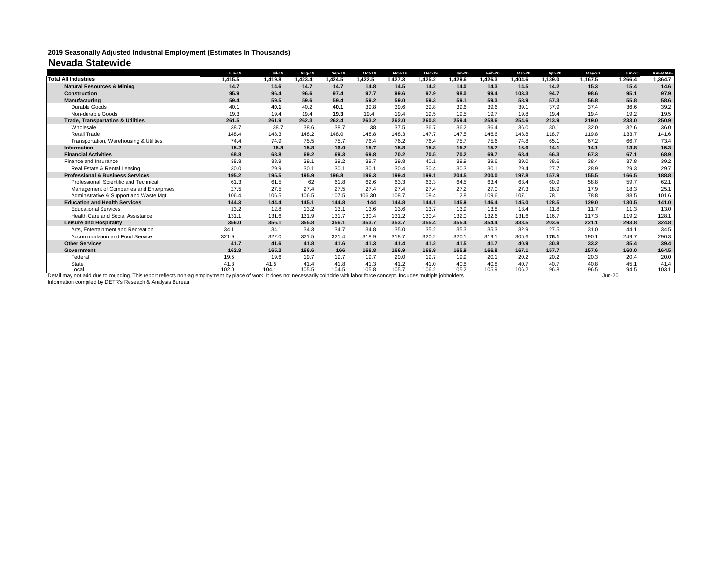#### **2019 Seasonally Adjusted Industrial Employment (Estimates In Thousands)**

#### **Nevada Statewide**

|                                                                                                                                                                                       | <b>Jun-19</b> | <b>Jul-19</b> | Aug-19  | <b>Sep-19</b> | Oct-19  | <b>Nov-19</b> | <b>Dec-19</b> | <b>Jan-20</b> | Feb-20  | <b>Mar-20</b> | Apr-20  | $May-20$ | <b>Jun-20</b> | <b>AVERAGE</b> |
|---------------------------------------------------------------------------------------------------------------------------------------------------------------------------------------|---------------|---------------|---------|---------------|---------|---------------|---------------|---------------|---------|---------------|---------|----------|---------------|----------------|
| <b>Total All Industries</b>                                                                                                                                                           | 1.415.5       | 1.419.8       | 1.423.4 | 1.424.5       | 1.422.5 | 1.427.3       | ,425.2        | 429.6         | 1.426.3 | 1.404.6       | 1,139.0 | 1,167.5  | 1.266.4       | 1,364.7        |
| <b>Natural Resources &amp; Mining</b>                                                                                                                                                 | 14.7          | 14.6          | 14.7    | 14.7          | 14.8    | 14.5          | 14.2          | 14.0          | 14.3    | 14.5          | 14.2    | 15.3     | 15.4          | 14.6           |
| <b>Construction</b>                                                                                                                                                                   | 95.9          | 96.4          | 96.6    | 97.4          | 97.7    | 99.6          | 97.9          | 98.0          | 99.4    | 103.3         | 94.7    | 98.6     | 95.1          | 97.9           |
| Manufacturing                                                                                                                                                                         | 59.4          | 59.5          | 59.6    | 59.4          | 59.2    | 59.0          | 59.3          | 59.1          | 59.3    | 58.9          | 57.3    | 56.8     | 55.8          | 58.6           |
| Durable Goods                                                                                                                                                                         | 40.1          | 40.1          | 40.2    | 40.1          | 39.8    | 39.6          | 39.8          | 39.6          | 39.6    | 39.1          | 37.9    | 37.4     | 36.6          | 39.2           |
| Non-durable Goods                                                                                                                                                                     | 19.3          | 19.4          | 19.4    | 19.3          | 19.4    | 19.4          | 19.5          | 19.5          | 19.7    | 19.8          | 19.4    | 19.4     | 19.2          | 19.5           |
| <b>Trade, Transportation &amp; Utilities</b>                                                                                                                                          | 261.5         | 261.9         | 262.3   | 262.4         | 263.2   | 262.0         | 260.8         | 259.4         | 258.6   | 254.6         | 213.9   | 219.0    | 233.0         | 250.9          |
| Wholesale                                                                                                                                                                             | 38.7          | 38.7          | 38.6    | 38.7          | 38      | 37.5          | 36.7          | 36.2          | 36.4    | 36.0          | 30.1    | 32.0     | 32.6          | 36.0           |
| Retail Trade                                                                                                                                                                          | 148.4         | 148.3         | 148.2   | 148.0         | 148.8   | 148.3         | 147.7         | 147.5         | 146.6   | 143.8         | 118.7   | 119.8    | 133.7         | 141.6          |
| Transportation, Warehousing & Utilities                                                                                                                                               | 74.4          | 74.9          | 75.5    | 75.7          | 76.4    | 76.2          | 76.4          | 75.7          | 75.6    | 74.8          | 65.1    | 67.2     | 66.7          | 73.4           |
| <b>Information</b>                                                                                                                                                                    | 15.2          | 15.8          | 15.8    | 16.0          | 15.7    | 15.8          | 15.8          | 15.7          | 15.7    | 15.6          | 14.1    | 14.1     | 13.8          | 15.3           |
| <b>Financial Activities</b>                                                                                                                                                           | 68.8          | 68.8          | 69.2    | 69.3          | 69.8    | 70.2          | 70.5          | 70.2          | 69.7    | 68.4          | 66.3    | 67.3     | 67.1          | 68.9           |
| Finance and Insurance                                                                                                                                                                 | 38.8          | 38.9          | 39.1    | 39.2          | 39.7    | 39.8          | 40.1          | 39.9          | 39.6    | 39.0          | 38.6    | 38.4     | 37.8          | 39.2           |
| Real Estate & Rental Leasing                                                                                                                                                          | 30.0          | 29.9          | 30.1    | 30.1          | 30.1    | 30.4          | 30.4          | 30.3          | 30.1    | 29.4          | 27.7    | 28.9     | 29.3          | 29.7           |
| <b>Professional &amp; Business Services</b>                                                                                                                                           | 195.2         | 195.5         | 195.9   | 196.8         | 196.3   | 199.4         | 199.1         | 204.5         | 200.0   | 197.8         | 157.9   | 155.5    | 166.5         | 188.8          |
| Professional, Scientific and Technical                                                                                                                                                | 61.3          | 61.5          | 62      | 61.8          | 62.6    | 63.3          | 63.3          | 64.5          | 63.4    | 63.4          | 60.9    | 58.8     | 59.7          | 62.1           |
| Management of Companies and Enterprises                                                                                                                                               | 27.5          | 27.5          | 27.4    | 27.5          | 27.4    | 27.4          | 27.4          | 27.2          | 27.0    | 27.3          | 18.9    | 17.9     | 18.3          | 25.1           |
| Administrative & Support and Waste Mqt.                                                                                                                                               | 106.4         | 106.5         | 106.5   | 107.5         | 106.30  | 108.7         | 108.4         | 112.8         | 109.6   | 107.1         | 78.1    | 78.8     | 88.5          | 101.6          |
| <b>Education and Health Services</b>                                                                                                                                                  | 144.3         | 144.4         | 145.1   | 144.8         | 144     | 144.8         | 144.1         | 145.9         | 146.4   | 145.0         | 128.5   | 129.0    | 130.5         | 141.0          |
| <b>Educational Services</b>                                                                                                                                                           | 13.2          | 12.8          | 13.2    | 13.1          | 13.6    | 13.6          | 13.7          | 13.9          | 13.8    | 13.4          | 11.8    | 11.7     | 11.3          | 13.0           |
| Health Care and Social Assistance                                                                                                                                                     | 131.1         | 131.6         | 131.9   | 131.7         | 130.4   | 131.2         | 130.4         | 132.0         | 132.6   | 131.6         | 116.7   | 117.3    | 119.2         | 128.1          |
| <b>Leisure and Hospitality</b>                                                                                                                                                        | 356.0         | 356.1         | 355.8   | 356.1         | 353.7   | 353.7         | 355.4         | 355.4         | 354.4   | 338.5         | 203.6   | 221.1    | 293.8         | 324.8          |
| Arts. Entertainment and Recreation                                                                                                                                                    | 34.1          | 34.1          | 34.3    | 34.7          | 34.8    | 35.0          | 35.2          | 35.3          | 35.3    | 32.9          | 27.5    | 31.0     | 44.1          | 34.5           |
| Accommodation and Food Service                                                                                                                                                        | 321.9         | 322.0         | 321.5   | 321.4         | 318.9   | 318.7         | 320.2         | 320.1         | 319.1   | 305.6         | 176.1   | 190.1    | 249.7         | 290.3          |
| <b>Other Services</b>                                                                                                                                                                 | 41.7          | 41.6          | 41.8    | 41.6          | 41.3    | 41.4          | 41.2          | 41.5          | 41.7    | 40.9          | 30.8    | 33.2     | 35.4          | 39.4           |
| Government                                                                                                                                                                            | 162.8         | 165.2         | 166.6   | 166           | 166.8   | 166.9         | 166.9         | 165.9         | 166.8   | 167.1         | 157.7   | 157.6    | 160.0         | 164.5          |
| Federal                                                                                                                                                                               | 19.5          | 19.6          | 19.7    | 19.7          | 19.7    | 20.0          | 19.7          | 19.9          | 20.1    | 20.2          | 20.2    | 20.3     | 20.4          | 20.0           |
| State                                                                                                                                                                                 | 41.3          | 41.5          | 41.4    | 41.8          | 41.3    | 41.2          | 41.0          | 40.8          | 40.8    | 40.7          | 40.7    | 40.8     | 45.1          | 41.4           |
| Local                                                                                                                                                                                 | 102.0         | 104.1         | 105.5   | 104.5         | 105.8   | 105.7         | 106.2         | 105.2         | 105.9   | 106.2         | 96.8    | 96.5     | 94.5          | 103.1          |
| Detail may not add due to rounding. This report reflects non-ag employment by place of work. It does not necessarily coincide with labor force concept. Includes multiple jobholders. |               |               |         |               |         |               |               |               |         |               |         |          | Jun-20        |                |
| Information compiled by DETR's Reseach & Analysis Bureau                                                                                                                              |               |               |         |               |         |               |               |               |         |               |         |          |               |                |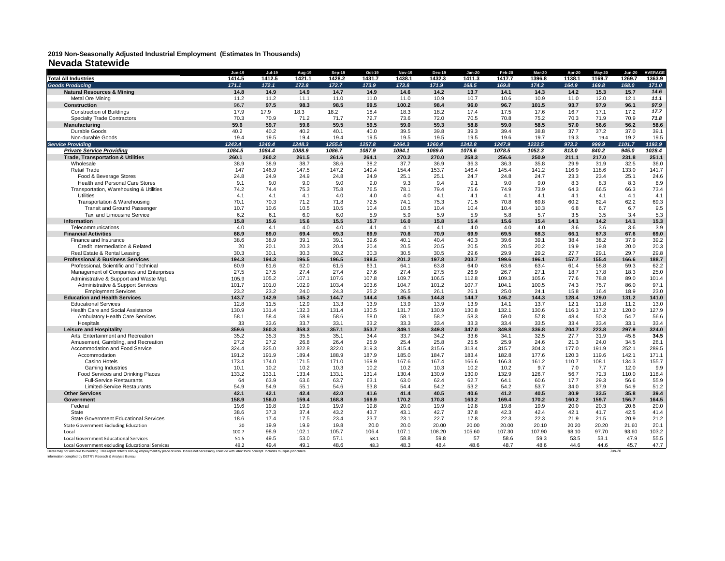#### **2019 Non-Seasonally Adjusted Industrial Employment (Estimates In Thousands) Nevada Statewide**

|                                                 | <b>Jun-19</b> | <b>Jul-19</b> | Aug-19 | Sep-19 | Oct-19 | <b>Nov-19</b> | <b>Dec-19</b> | $Jan-20$ | <b>Feb-20</b> | Mar-20 | Apr-20 | May-20 | <b>Jun-20</b> | <b>AVERAGE</b> |
|-------------------------------------------------|---------------|---------------|--------|--------|--------|---------------|---------------|----------|---------------|--------|--------|--------|---------------|----------------|
| <b>Total All Industries</b>                     | 1414.5        | 1412.5        | 1421.1 | 1428.2 | 1431.7 | 1438.1        | 1432.3        | 1411.3   | 1417.7        | 1396.8 | 1138.1 | 1169.7 | 1269.7        | 1363.9         |
| <b>Goods Producing</b>                          | 171.1         | 172.1         | 172.8  | 172.7  | 173.9  | 173.8         | 171.9         | 168.5    | 169.8         | 174.3  | 164.9  | 169.8  | 168.0         | 171.0          |
| <b>Natural Resources &amp; Mining</b>           | 14.8          | 14.9          | 14.9   | 14.7   | 14.9   | 14.6          | 14.2          | 13.7     | 14.1          | 14.3   | 14.2   | 15.3   | 15.7          | 14.6           |
| Metal Ore Mining                                | 11.2          | 11.2          | 11.1   | 11.0   | 11.0   | 11.0          | 10.9          | 10.7     | 10.6          | 10.9   | 11.0   | 12.0   | 12.1          | 11.1           |
| <b>Construction</b>                             | 96.7          | 97.5          | 98.3   | 98.5   | 99.5   | 100.2         | 98.4          | 96.0     | 96.7          | 101.5  | 93.7   | 97.9   | 96.1          | 97.9           |
| <b>Construction of Buildings</b>                | 17.9          | 17.9          | 18.3   | 18.2   | 18.4   | 18.3          | 18.2          | 17.4     | 17.5          | 17.6   | 16.7   | 17.1   | 17.2          | 17.7           |
| <b>Specialty Trade Contractors</b>              | 70.3          | 70.9          | 71.2   | 71.7   | 72.7   | 73.6          | 72.0          | 70.5     | 70.8          | 75.2   | 70.3   | 71.9   | 70.9          | 71.8           |
| <b>Manufacturing</b>                            | 59.6          | 59.7          | 59.6   | 59.5   | 59.5   | 59.0          | 59.3          | 58.8     | 59.0          | 58.5   | 57.0   | 56.6   | 56.2          | 58.6           |
| Durable Goods                                   | 40.2          | 40.2          | 40.2   | 40.1   | 40.0   | 39.5          | 39.8          | 39.3     | 39.4          | 38.8   | 37.7   | 37.2   | 37.0          | 39.1           |
| Non-durable Goods                               | 19.4          | 19.5          | 19.4   | 19.4   | 19.5   | 19.5          | 19.5          | 19.5     | 19.6          | 19.7   | 19.3   | 19.4   | 19.2          | 19.5           |
| <b>Service Providing</b>                        | 1243.4        | 1240.4        | 1248.3 | 1255.5 | 1257.8 | 1264.3        | 1260.4        | 1242.8   | 1247.9        | 1222.5 | 973.2  | 999.9  | 1101.7        | 1192.9         |
| <b>Private Service Providing</b>                | 1084.5        | 1084.4        | 1088.9 | 1086.7 | 1087.9 | 1094.1        | 1089.6        | 1079.6   | 1078.5        | 1052.3 | 813.0  | 840.2  | 945.0         | 1028.4         |
| <b>Trade, Transportation &amp; Utilities</b>    | 260.1         | 260.2         | 261.5  | 261.6  | 264.1  | 270.2         | 270.0         | 258.3    | 256.6         | 250.9  | 211.1  | 217.0  | 231.8         | 251.1          |
| Wholesale                                       | 38.9          | 38.9          | 38.7   | 38.6   | 38.2   | 37.7          | 36.9          | 36.3     | 36.3          | 35.8   | 29.9   | 31.9   | 32.5          | 36.0           |
| Retail Trade                                    | 147           | 146.9         | 147.5  | 147.2  | 149.4  | 154.4         | 153.7         | 146.4    | 145.4         | 141.2  | 116.9  | 118.6  | 133.0         | 141.7          |
| Food & Beverage Stores                          | 24.8          | 24.9          | 24.9   | 24.8   | 24.9   | 25.1          | 25.1          | 24.7     | 24.8          | 24.7   | 23.3   | 23.4   | 25.1          | 24.6           |
| Health and Personal Care Stores                 | 9.1           | 9.0           | 9.0    | 9.0    | 9.0    | 9.3           | 9.4           | 9.1      | 9.0           | 9.0    | 8.3    | 8.3    | 8.3           | 8.9            |
| Transportation, Warehousing & Utilities         | 74.2          | 74.4          | 75.3   | 75.8   | 76.5   | 78.1          | 79.4          | 75.6     | 74.9          | 73.9   | 64.3   | 66.5   | 66.3          | 73.4           |
| <b>Utilities</b>                                | 4.1           | 4.1           | 4.1    | 4.0    | 4.0    | 4.0           | 4.1           | 4.1      | 4.1           | 4.1    | 4.1    | 4.1    | 4.1           | 4.1            |
| Transportation & Warehousing                    | 70.1          | 70.3          | 71.2   | 71.8   | 72.5   | 74.1          | 75.3          | 71.5     | 70.8          | 69.8   | 60.2   | 62.4   | 62.2          | 69.3           |
| <b>Transit and Ground Passenger</b>             | 10.7          | 10.6          | 10.5   | 10.5   | 10.4   | 10.5          | 10.4          | 10.4     | 10.4          | 10.3   | 6.8    | 6.7    | 6.7           | 9.5            |
| Taxi and Limousine Service                      | 6.2           | 6.1           | 6.0    | 6.0    | 5.9    | 5.9           | 5.9           | 5.9      | 5.8           | 5.7    | 3.5    | 3.5    | 3.4           | 5.3            |
| Information                                     | 15.8          | 15.6          | 15.6   | 15.5   | 15.7   | 16.0          | 15.8          | 15.4     | 15.6          | 15.4   | 14.1   | 14.2   | 14.1          | 15.3           |
| Telecommunications                              | 4.0           | 4.1           | 4.0    | 4.0    | 4.1    | 4.1           | 4.1           | 4.0      | 4.0           | 4.0    | 3.6    | 3.6    | 3.6           | 3.9            |
| <b>Financial Activities</b>                     | 68.9          | 69.0          | 69.4   | 69.3   | 69.9   | 70.6          | 70.9          | 69.9     | 69.5          | 68.3   | 66.1   | 67.3   | 67.6          | 69.0           |
| Finance and Insurance                           | 38.6          | 38.9          | 39.1   | 39.1   | 39.6   | 40.1          | 40.4          | 40.3     | 39.6          | 39.1   | 38.4   | 38.2   | 37.9          | 39.2           |
| Credit Intermediation & Related                 | 20            | 20.1          | 20.3   | 20.4   | 20.4   | 20.5          | 20.5          | 20.5     | 20.5          | 20.2   | 19.9   | 19.8   | 20.0          | 20.3           |
| Real Estate & Rental Leasing                    | 30.3          | 30.1          | 30.3   | 30.2   | 30.3   | 30.5          | 30.5          | 29.6     | 29.9          | 29.2   | 27.7   | 29.1   | 29.7          | 29.8           |
| <b>Professional &amp; Business Services</b>     | 194.3         | 194.3         | 196.5  | 196.5  | 198.5  | 201.2         | 197.8         | 203.7    | 199.6         | 196.1  | 157.7  | 155.4  | 166.6         | 188.7          |
| Professional, Scientific and Technical          | 60.9          | 61.6          | 62.0   | 61.5   | 63.1   | 64.1          | 63.8          | 64.0     | 63.6          | 63.4   | 61.4   | 58.8   | 59.3          | 62.2           |
| Management of Companies and Enterprises         | 27.5          | 27.5          | 27.4   | 27.4   | 27.6   | 27.4          | 27.5          | 26.9     | 26.7          | 27.1   | 18.7   | 17.8   | 18.3          | 25.0           |
| Administrative & Support and Waste Mgt.         | 105.9         | 105.2         | 107.1  | 107.6  | 107.8  | 109.7         | 106.5         | 112.8    | 109.3         | 105.6  | 77.6   | 78.8   | 89.0          | 101.4          |
| Administrative & Support Services               | 101.7         | 101.0         | 102.9  | 103.4  | 103.6  | 104.7         | 101.2         | 107.7    | 104.1         | 100.5  | 74.3   | 75.7   | 86.0          | 97.1           |
| <b>Employment Services</b>                      | 23.2          | 23.2          | 24.0   | 24.3   | 25.2   | 26.5          | 26.1          | 26.1     | 25.0          | 24.1   | 15.8   | 16.4   | 18.9          | 23.0           |
| <b>Education and Health Services</b>            | 143.7         | 142.9         | 145.2  | 144.7  | 144.4  | 145.6         | 144.8         | 144.7    | 146.2         | 144.3  | 128.4  | 129.0  | 131.2         | 141.0          |
| <b>Educational Services</b>                     | 12.8          | 11.5          | 12.9   | 13.3   | 13.9   | 13.9          | 13.9          | 13.9     | 14.1          | 13.7   | 12.1   | 11.8   | 11.2          | 13.0           |
| Health Care and Social Assistance               | 130.9         | 131.4         | 132.3  | 131.4  | 130.5  | 131.7         | 130.9         | 130.8    | 132.1         | 130.6  | 116.3  | 117.2  | 120.0         | 127.9          |
| <b>Ambulatory Health Care Services</b>          | 58.1          | 58.4          | 58.9   | 58.6   | 58.0   | 58.1          | 58.2          | 58.3     | 59.0          | 57.8   | 48.4   | 50.3   | 54.7          | 56.6           |
| Hospitals                                       | 33            | 33.6          | 33.7   | 33.1   | 33.2   | 33.3          | 33.4          | 33.3     | 33.4          | 33.5   | 33.4   | 33.4   | 33.1          | 33.4           |
| <b>Leisure and Hospitality</b>                  | 359.6         | 360.3         | 358.3  | 357.1  | 353.7  | 349.1         | 349.8         | 347.0    | 349.8         | 336.8  | 204.7  | 223.8  | 297.9         | 324.0          |
| Arts, Entertainment and Recreation              | 35.2          | 35.3          | 35.5   | 35.1   | 34.4   | 33.7          | 34.2          | 33.6     | 34.1          | 32.5   | 27.7   | 31.9   | 45.8          | 34.5           |
| Amusement, Gambling, and Recreation             | 27.2          | 27.2          | 26.8   | 26.4   | 25.9   | 25.4          | 25.8          | 25.5     | 25.9          | 24.6   | 21.3   | 24.0   | 34.5          | 26.1           |
| Accommodation and Food Service                  | 324.4         | 325.0         | 322.8  | 322.0  | 319.3  | 315.4         | 315.6         | 313.4    | 315.7         | 304.3  | 177.0  | 191.9  | 252.1         | 289.5          |
| Accommodation                                   | 191.2         | 191.9         | 189.4  | 188.9  | 187.9  | 185.0         | 184.7         | 183.4    | 182.8         | 177.6  | 120.3  | 119.6  | 142.1         | 171.1          |
| Casino Hotels                                   | 173.4         | 174.0         | 171.5  | 171.0  | 169.9  | 167.6         | 167.4         | 166.6    | 166.3         | 161.2  | 110.7  | 108.1  | 134.3         | 155.7          |
| Gaming Industries                               | 10.1          | 10.2          | 10.2   | 10.3   | 10.2   | 10.2          | 10.3          | 10.2     | 10.2          | 9.7    | 7.0    | 7.7    | 12.0          | 9.9            |
| Food Services and Drinking Places               | 133.2         | 133.1         | 133.4  | 133.1  | 131.4  | 130.4         | 130.9         | 130.0    | 132.9         | 126.7  | 56.7   | 72.3   | 110.0         | 118.4          |
| <b>Full-Service Restaurants</b>                 | 64            | 63.9          | 63.6   | 63.7   | 63.1   | 63.0          | 62.4          | 62.7     | 64.1          | 60.6   | 17.7   | 29.3   | 56.6          | 55.9           |
| <b>Limited-Service Restaurants</b>              | 54.9          | 54.9          | 55.1   | 54.6   | 53.8   | 54.4          | 54.2          | 53.2     | 54.2          | 53.7   | 34.0   | 37.9   | 54.9          | 51.2           |
| <b>Other Services</b>                           | 42.1          | 42.1          | 42.4   | 42.0   | 41.6   | 41.4          | 40.5          | 40.6     | 41.2          | 40.5   | 30.9   | 33.5   | 35.8          | 39.4           |
| Government                                      | 158.9         | 156.0         | 159.4  | 168.8  | 169.9  | 170.2         | 170.8         | 163.2    | 169.4         | 170.2  | 160.2  | 159.7  | 156.7         | 164.5          |
| Federal                                         | 19.6          | 19.8          | 19.9   | 19.9   | 19.8   | 20.0          | 19.9          | 19.8     | 19.8          | 19.9   | 20.0   | 20.3   | 20.6          | 20.0           |
| <b>State</b>                                    | 38.6          | 37.3          | 37.4   | 43.2   | 43.7   | 43.1          | 42.7          | 37.8     | 42.3          | 42.4   | 42.1   | 41.7   | 42.5          | 41.4           |
| <b>State Government Educational Services</b>    | 18.6          | 17.4          | 17.5   | 23.4   | 23.7   | 23.1          | 22.7          | 17.8     | 22.3          | 22.3   | 21.9   | 21.5   | 20.9          | 21.2           |
| State Government Excluding Education            | 20            | 19.9          | 19.9   | 19.8   | 20.0   | 20.0          | 20.00         | 20.00    | 20.00         | 20.10  | 20.20  | 20.20  | 21.60         | 20.1           |
| Local                                           | 100.7         | 98.9          | 102.1  | 105.7  | 106.4  | 107.1         | 108.20        | 105.60   | 107.30        | 107.90 | 98.10  | 97.70  | 93.60         | 103.2          |
| Local Government Educational Services           | 51.5          | 49.5          | 53.0   | 57.1   | 58.1   | 58.8          | 59.8          | 57       | 58.6          | 59.3   | 53.5   | 53.1   | 47.9          | 55.5           |
| Local Government excluding Educational Services | 49.2          | 49.4          | 49.1   | 48.6   | 48.3   | 48.3          | 48.4          | 48.6     | 48.7          | 48.6   | 44.6   | 44.6   | 45.7          | 47.7           |

Deal anay not add due to rounding. This report reflects non-age employment by place of work. It does not necessarily coincide with labor force concept. Includes multiple jobholders.<br>Information compiled by DETR's Research